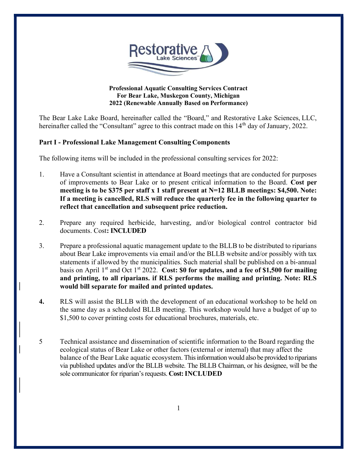

#### Professional Aquatic Consulting Services Contract For Bear Lake, Muskegon County, Michigan 2022 (Renewable Annually Based on Performance)

The Bear Lake Lake Board, hereinafter called the "Board," and Restorative Lake Sciences, LLC, hereinafter called the "Consultant" agree to this contract made on this 14<sup>th</sup> day of January, 2022.

## Part I - Professional Lake Management Consulting Components

The following items will be included in the professional consulting services for 2022:

- 1. Have a Consultant scientist in attendance at Board meetings that are conducted for purposes of improvements to Bear Lake or to present critical information to the Board. Cost per meeting is to be \$375 per staff x 1 staff present at N=12 BLLB meetings: \$4,500. Note: If a meeting is cancelled, RLS will reduce the quarterly fee in the following quarter to reflect that cancellation and subsequent price reduction.
- 2. Prepare any required herbicide, harvesting, and/or biological control contractor bid documents. Cost: INCLUDED
- 3. Prepare a professional aquatic management update to the BLLB to be distributed to riparians about Bear Lake improvements via email and/or the BLLB website and/or possibly with tax statements if allowed by the municipalities. Such material shall be published on a bi-annual basis on April  $1<sup>st</sup>$  and Oct  $1<sup>st</sup>$  2022. Cost: \$0 for updates, and a fee of \$1,500 for mailing and printing, to all riparians. if RLS performs the mailing and printing. Note: RLS would bill separate for mailed and printed updates.
- 4. RLS will assist the BLLB with the development of an educational workshop to be held on the same day as a scheduled BLLB meeting. This workshop would have a budget of up to \$1,500 to cover printing costs for educational brochures, materials, etc.
- 5 Technical assistance and dissemination of scientific information to the Board regarding the ecological status of Bear Lake or other factors (external or internal) that may affect the balance of the Bear Lake aquatic ecosystem. This information would also be provided to riparians via published updates and/or the BLLB website. The BLLB Chairman, or his designee, will be the sole communicator for riparian's requests. Cost: INCLUDED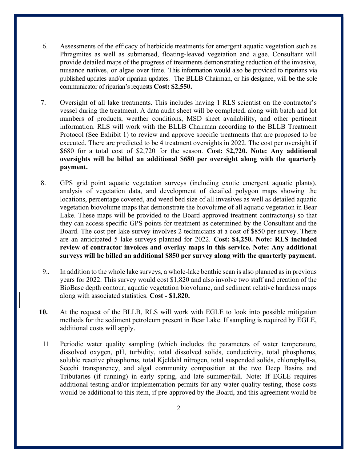- 6. Assessments of the efficacy of herbicide treatments for emergent aquatic vegetation such as Phragmites as well as submersed, floating-leaved vegetation and algae. Consultant will provide detailed maps of the progress of treatments demonstrating reduction of the invasive, nuisance natives, or algae over time. This information would also be provided to riparians via published updates and/or riparian updates. The BLLB Chairman, or his designee, will be the sole communicator of riparian's requests Cost: \$2,550.
- 7. Oversight of all lake treatments. This includes having 1 RLS scientist on the contractor's vessel during the treatment. A data audit sheet will be completed, along with batch and lot numbers of products, weather conditions, MSD sheet availability, and other pertinent information. RLS will work with the BLLB Chairman according to the BLLB Treatment Protocol (See Exhibit 1) to review and approve specific treatments that are proposed to be executed. There are predicted to be 4 treatment oversights in 2022. The cost per oversight if \$680 for a total cost of \$2,720 for the season. Cost: \$2,720. Note: Any additional oversights will be billed an additional \$680 per oversight along with the quarterly payment.
- 8. GPS grid point aquatic vegetation surveys (including exotic emergent aquatic plants), analysis of vegetation data, and development of detailed polygon maps showing the locations, percentage covered, and weed bed size of all invasives as well as detailed aquatic vegetation biovolume maps that demonstrate the biovolume of all aquatic vegetation in Bear Lake. These maps will be provided to the Board approved treatment contractor(s) so that they can access specific GPS points for treatment as determined by the Consultant and the Board. The cost per lake survey involves 2 technicians at a cost of \$850 per survey. There are an anticipated 5 lake surveys planned for 2022. Cost: \$4,250. Note: RLS included review of contractor invoices and overlay maps in this service. Note: Any additional surveys will be billed an additional \$850 per survey along with the quarterly payment.
- 9.. In addition to the whole lake surveys, a whole-lake benthic scan is also planned as in previous years for 2022. This survey would cost \$1,820 and also involve two staff and creation of the BioBase depth contour, aquatic vegetation biovolume, and sediment relative hardness maps along with associated statistics. Cost - \$1,820.
- 10. At the request of the BLLB, RLS will work with EGLE to look into possible mitigation methods for the sediment petroleum present in Bear Lake. If sampling is required by EGLE, additional costs will apply.
- 11 Periodic water quality sampling (which includes the parameters of water temperature, dissolved oxygen, pH, turbidity, total dissolved solids, conductivity, total phosphorus, soluble reactive phosphorus, total Kjeldahl nitrogen, total suspended solids, chlorophyll-a, Secchi transparency, and algal community composition at the two Deep Basins and Tributaries (if running) in early spring, and late summer/fall. Note: If EGLE requires additional testing and/or implementation permits for any water quality testing, those costs would be additional to this item, if pre-approved by the Board, and this agreement would be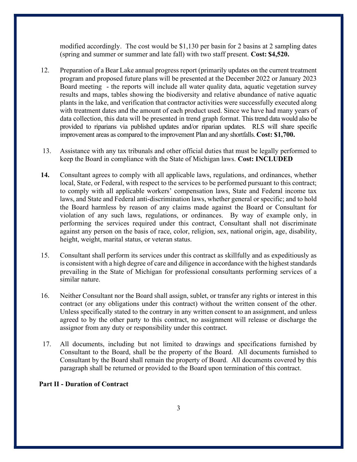modified accordingly. The cost would be \$1,130 per basin for 2 basins at 2 sampling dates (spring and summer or summer and late fall) with two staff present. Cost: \$4,520.

- 12. Preparation of a Bear Lake annual progress report (primarily updates on the current treatment program and proposed future plans will be presented at the December 2022 or January 2023 Board meeting - the reports will include all water quality data, aquatic vegetation survey results and maps, tables showing the biodiversity and relative abundance of native aquatic plants in the lake, and verification that contractor activities were successfully executed along with treatment dates and the amount of each product used. Since we have had many years of data collection, this data will be presented in trend graph format. This trend data would also be provided to riparians via published updates and/or riparian updates. RLS will share specific improvement areas as compared to the improvement Plan and any shortfalls. Cost: \$1,700.
- 13. Assistance with any tax tribunals and other official duties that must be legally performed to keep the Board in compliance with the State of Michigan laws. Cost: INCLUDED
- 14. Consultant agrees to comply with all applicable laws, regulations, and ordinances, whether local, State, or Federal, with respect to the services to be performed pursuant to this contract; to comply with all applicable workers' compensation laws, State and Federal income tax laws, and State and Federal anti-discrimination laws, whether general or specific; and to hold the Board harmless by reason of any claims made against the Board or Consultant for violation of any such laws, regulations, or ordinances. By way of example only, in performing the services required under this contract, Consultant shall not discriminate against any person on the basis of race, color, religion, sex, national origin, age, disability, height, weight, marital status, or veteran status.
- 15. Consultant shall perform its services under this contract as skillfully and as expeditiously as is consistent with a high degree of care and diligence in accordance with the highest standards prevailing in the State of Michigan for professional consultants performing services of a similar nature.
- 16. Neither Consultant nor the Board shall assign, sublet, or transfer any rights or interest in this contract (or any obligations under this contract) without the written consent of the other. Unless specifically stated to the contrary in any written consent to an assignment, and unless agreed to by the other party to this contract, no assignment will release or discharge the assignor from any duty or responsibility under this contract.
- 17. All documents, including but not limited to drawings and specifications furnished by Consultant to the Board, shall be the property of the Board. All documents furnished to Consultant by the Board shall remain the property of Board. All documents covered by this paragraph shall be returned or provided to the Board upon termination of this contract.

#### Part II - Duration of Contract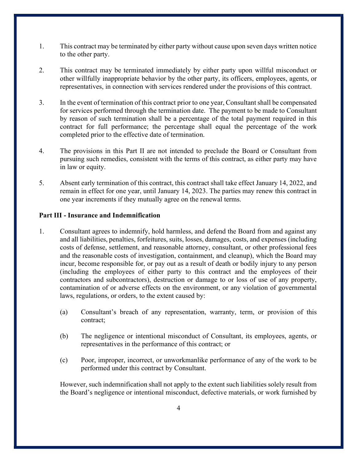- 1. This contract may be terminated by either party without cause upon seven days written notice to the other party.
- 2. This contract may be terminated immediately by either party upon willful misconduct or other willfully inappropriate behavior by the other party, its officers, employees, agents, or representatives, in connection with services rendered under the provisions of this contract.
- 3. In the event of termination of this contract prior to one year, Consultant shall be compensated for services performed through the termination date. The payment to be made to Consultant by reason of such termination shall be a percentage of the total payment required in this contract for full performance; the percentage shall equal the percentage of the work completed prior to the effective date of termination.
- 4. The provisions in this Part II are not intended to preclude the Board or Consultant from pursuing such remedies, consistent with the terms of this contract, as either party may have in law or equity.
- 5. Absent early termination of this contract, this contract shall take effect January 14, 2022, and remain in effect for one year, until January 14, 2023. The parties may renew this contract in one year increments if they mutually agree on the renewal terms.

### Part III - Insurance and Indemnification

- 1. Consultant agrees to indemnify, hold harmless, and defend the Board from and against any and all liabilities, penalties, forfeitures, suits, losses, damages, costs, and expenses (including costs of defense, settlement, and reasonable attorney, consultant, or other professional fees and the reasonable costs of investigation, containment, and cleanup), which the Board may incur, become responsible for, or pay out as a result of death or bodily injury to any person (including the employees of either party to this contract and the employees of their contractors and subcontractors), destruction or damage to or loss of use of any property, contamination of or adverse effects on the environment, or any violation of governmental laws, regulations, or orders, to the extent caused by:
	- (a) Consultant's breach of any representation, warranty, term, or provision of this contract;
	- (b) The negligence or intentional misconduct of Consultant, its employees, agents, or representatives in the performance of this contract; or
	- (c) Poor, improper, incorrect, or unworkmanlike performance of any of the work to be performed under this contract by Consultant.

 However, such indemnification shall not apply to the extent such liabilities solely result from the Board's negligence or intentional misconduct, defective materials, or work furnished by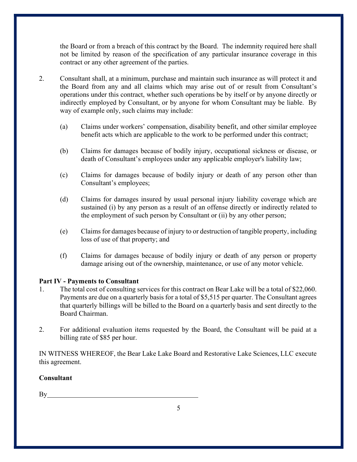the Board or from a breach of this contract by the Board. The indemnity required here shall not be limited by reason of the specification of any particular insurance coverage in this contract or any other agreement of the parties.

- 2. Consultant shall, at a minimum, purchase and maintain such insurance as will protect it and the Board from any and all claims which may arise out of or result from Consultant's operations under this contract, whether such operations be by itself or by anyone directly or indirectly employed by Consultant, or by anyone for whom Consultant may be liable. By way of example only, such claims may include:
	- (a) Claims under workers' compensation, disability benefit, and other similar employee benefit acts which are applicable to the work to be performed under this contract;
	- (b) Claims for damages because of bodily injury, occupational sickness or disease, or death of Consultant's employees under any applicable employer's liability law;
	- (c) Claims for damages because of bodily injury or death of any person other than Consultant's employees;
	- (d) Claims for damages insured by usual personal injury liability coverage which are sustained (i) by any person as a result of an offense directly or indirectly related to the employment of such person by Consultant or (ii) by any other person;
	- (e) Claims for damages because of injury to or destruction of tangible property, including loss of use of that property; and
	- (f) Claims for damages because of bodily injury or death of any person or property damage arising out of the ownership, maintenance, or use of any motor vehicle.

# Part IV - Payments to Consultant

- 1. The total cost of consulting services for this contract on Bear Lake will be a total of \$22,060. Payments are due on a quarterly basis for a total of \$5,515 per quarter. The Consultant agrees that quarterly billings will be billed to the Board on a quarterly basis and sent directly to the Board Chairman.
- 2. For additional evaluation items requested by the Board, the Consultant will be paid at a billing rate of \$85 per hour.

IN WITNESS WHEREOF, the Bear Lake Lake Board and Restorative Lake Sciences, LLC execute this agreement.

### **Consultant**

 $By$